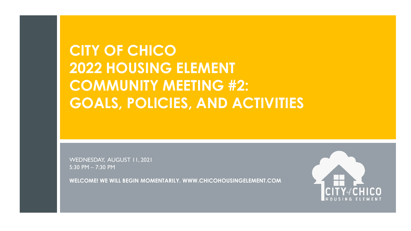### **CITY OF CHICO 2022 HOUSING ELEMENT COMMUNITY MEETING #2: GOALS, POLICIES, AND ACTIVITIES**

WEDNESDAY, AUGUST 11, 2021 5:30 PM – 7:30 PM

**WELCOME! WE WILL BEGIN MOMENTARILY. WWW.CHICOHOUSINGELEMENT.COM**

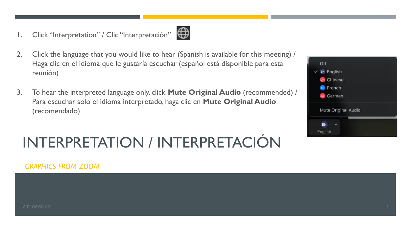1. Click "Interpretation" / Clic "Interpretación"



- 2. Click the language that you would like to hear (Spanish is available for this meeting) / Haga clic en el idioma que le gustaría escuchar (español está disponible para esta reunión)
- 3. To hear the interpreted language only, click **Mute Original Audio** (recommended) / Para escuchar solo el idioma interpretado, haga clic en **Mute Original Audio**  (recomendado)

## INTERPRETATION / INTERPRETACIÓN



*GRAPHICS FROM ZOOM*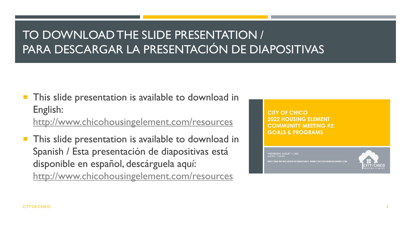### TO DOWNLOAD THE SLIDE PRESENTATION / PARA DESCARGAR LA PRESENTACIÓN DE DIAPOSITIVAS

 This slide presentation is available to download in English:

<http://www.chicohousingelement.com/resources>

 This slide presentation is available to download in Spanish / Esta presentación de diapositivas está disponible en español, descárguela aquí: <http://www.chicohousingelement.com/resources>

CITY OF CHICO 2022 HOUSING ELEMENT **COMMUNITY MEETING #2: GOALS & PROGRAMS** 

MEDNESDAY, AUGUST 11, 2021<br>5:30 PM – 7:30 PM WILL BEGIN MOMENTARILY, WWW.CHICOHOUSINGELEMENT.COM

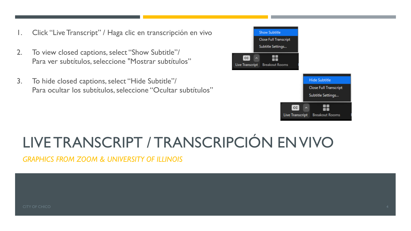- 1. Click "Live Transcript" / Haga clic en transcripción en vivo
- 2. To view closed captions, select "Show Subtitle"/ Para ver subtítulos, seleccione "Mostrar subtítulos"
- 3. To hide closed captions, select "Hide Subtitle"/ Para ocultar los subtítulos, seleccione "Ocultar subtítulos"



## LIVE TRANSCRIPT / TRANSCRIPCIÓN EN VIVO

*GRAPHICS FROM ZOOM & UNIVERSITY OF ILLINOIS*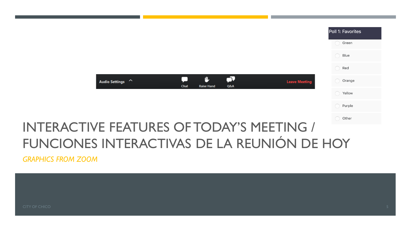|                                                                                         | Poll 1: Favorites |
|-----------------------------------------------------------------------------------------|-------------------|
|                                                                                         | Green             |
|                                                                                         | Blue              |
|                                                                                         | Red               |
| ΓV<br>山<br>Audio Settings ^<br><b>Leave Meeting</b><br>Q&A<br>Chat<br><b>Raise Hand</b> | Orange            |
|                                                                                         | Yellow            |
|                                                                                         | Purple            |
|                                                                                         | O Other           |
| <b>INTERACTIVE FEATURES OF TODAY'S MEETING /</b>                                        |                   |
| FUNCIONES INTERACTIVAS DE LA REUNIÓN DE HOY                                             |                   |

*GRAPHICS FROM ZOOM*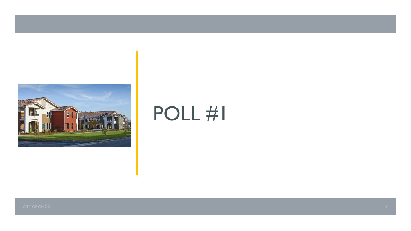

# POLL #1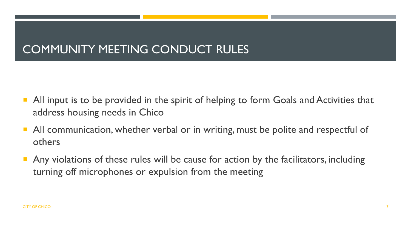#### COMMUNITY MEETING CONDUCT RULES

- All input is to be provided in the spirit of helping to form Goals and Activities that address housing needs in Chico
- All communication, whether verbal or in writing, must be polite and respectful of others
- Any violations of these rules will be cause for action by the facilitators, including turning off microphones or expulsion from the meeting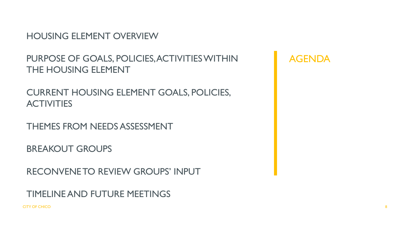HOUSING ELEMENT OVERVIEW

PURPOSE OF GOALS, POLICIES, ACTIVITIES WITHIN THE HOUSING ELEMENT

CURRENT HOUSING ELEMENT GOALS, POLICIES, **ACTIVITIES** 

THEMES FROM NEEDS ASSESSMENT

BREAKOUT GROUPS

RECONVENE TO REVIEW GROUPS' INPUT

TIMELINE AND FUTURE MEETINGS

CITY OF CHICO 8

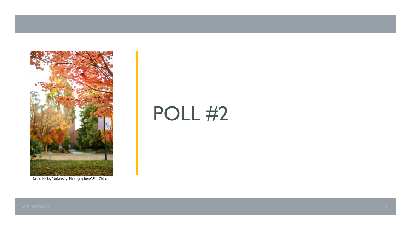

Jason Halley/University Photographer/CSU, Chico

# **POLL #2**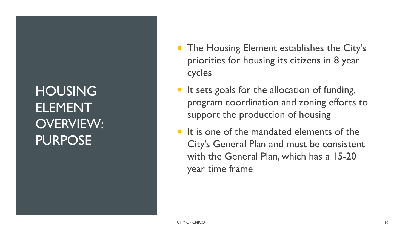### **HOUSING ELEMENT** OVERVIEW: PURPOSE

- **The Housing Element establishes the City's** priorities for housing its citizens in 8 year cycles
- $\blacksquare$  It sets goals for the allocation of funding, program coordination and zoning efforts to support the production of housing
- $\blacksquare$  It is one of the mandated elements of the City's General Plan and must be consistent with the General Plan, which has a 15-20 year time frame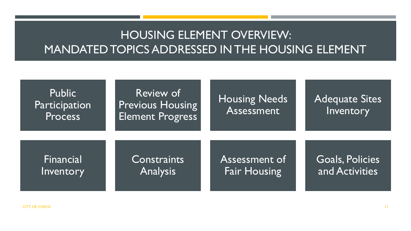#### HOUSING ELEMENT OVERVIEW: MANDATED TOPICS ADDRESSED IN THE HOUSING ELEMENT

| <b>Public</b><br>Participation<br>Process | Review of<br><b>Previous Housing</b><br><b>Element Progress</b> | <b>Housing Needs</b><br>Assessment | <b>Adequate Sites</b><br>Inventory |
|-------------------------------------------|-----------------------------------------------------------------|------------------------------------|------------------------------------|
| Financial                                 | Constraints                                                     | Assessment of                      | <b>Goals, Policies</b>             |
| Inventory                                 | <b>Analysis</b>                                                 | <b>Fair Housing</b>                | and Activities                     |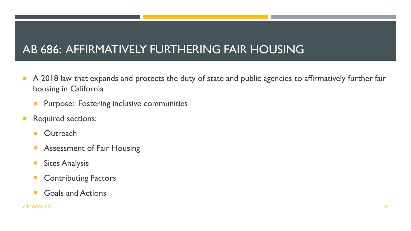#### AB 686: AFFIRMATIVELY FURTHERING FAIR HOUSING

- A 2018 law that expands and protects the duty of state and public agencies to affirmatively further fair housing in California
	- **Purpose: Fostering inclusive communities**
- **Required sections:** 
	- **Dutreach**
	- Assessment of Fair Housing
	- **Sites Analysis**
	- **Contributing Factors**
	- Goals and Actions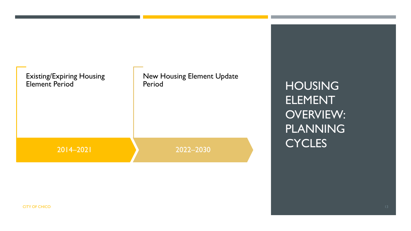

HOUSING ELEMENT OVERVIEW: PLANNING **CYCLES**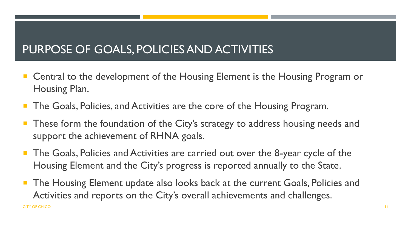### PURPOSE OF GOALS, POLICIES AND ACTIVITIES

- Central to the development of the Housing Element is the Housing Program or Housing Plan.
- The Goals, Policies, and Activities are the core of the Housing Program.
- These form the foundation of the City's strategy to address housing needs and support the achievement of RHNA goals.
- The Goals, Policies and Activities are carried out over the 8-year cycle of the Housing Element and the City's progress is reported annually to the State.
- The Housing Element update also looks back at the current Goals, Policies and Activities and reports on the City's overall achievements and challenges. CITY OF CHICO AND ANNOUNCED A REPORT OF THE SERVER OF THE SERVER OF THE SERVER OF THE SERVER OF THE SERVER OF THE SERVER OF THE SERVER OF THE SERVER OF THE SERVER OF THE SERVER OF THE SERVER OF THE SERVER OF THE SERVER OF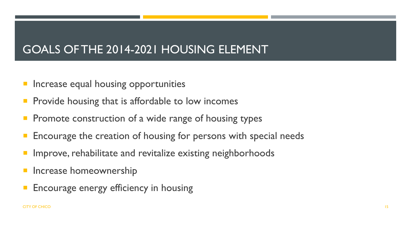#### GOALS OF THE 2014-2021 HOUSING ELEMENT

- Increase equal housing opportunities
- Provide housing that is affordable to low incomes
- Promote construction of a wide range of housing types
- Encourage the creation of housing for persons with special needs
- Improve, rehabilitate and revitalize existing neighborhoods
- Increase homeownership
- Encourage energy efficiency in housing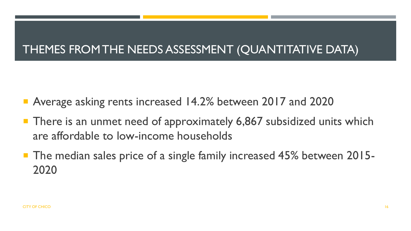#### THEMES FROM THE NEEDS ASSESSMENT (QUANTITATIVE DATA)

- Average asking rents increased 14.2% between 2017 and 2020
- **There is an unmet need of approximately 6,867 subsidized units which** are affordable to low-income households
- **The median sales price of a single family increased 45% between 2015-**2020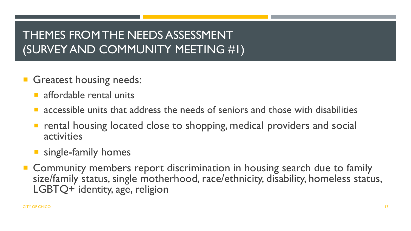#### THEMES FROM THE NEEDS ASSESSMENT (SURVEY AND COMMUNITY MEETING #1)

- Greatest housing needs:
	- affordable rental units
	- accessible units that address the needs of seniors and those with disabilities
	- rental housing located close to shopping, medical providers and social activities
	- **single-family homes**
- Community members report discrimination in housing search due to family size/family status, single motherhood, race/ethnicity, disability, homeless status, LGBTQ+ identity, age, religion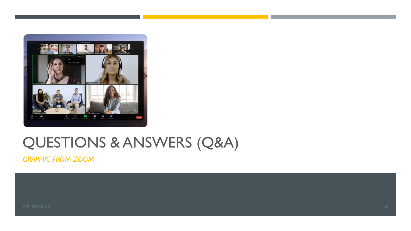

### QUESTIONS & ANSWERS (Q&A)

*GRAPHIC FROM ZOOM*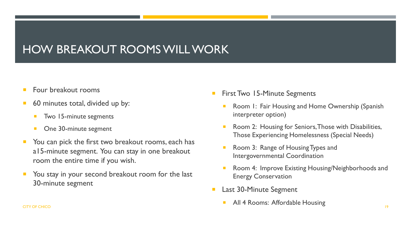#### HOW BREAKOUT ROOMS WILL WORK

- Four breakout rooms
- 60 minutes total, divided up by:
	- Two 15-minute segments
	- One 30-minute segment
- You can pick the first two breakout rooms, each has a15-minute segment. You can stay in one breakout room the entire time if you wish.
- You stay in your second breakout room for the last 30-minute segment
- First Two 15-Minute Segments
	- Room 1: Fair Housing and Home Ownership (Spanish interpreter option)
	- Room 2: Housing for Seniors, Those with Disabilities, Those Experiencing Homelessness (Special Needs)
	- Room 3: Range of Housing Types and Intergovernmental Coordination
	- Room 4: Improve Existing Housing/Neighborhoods and Energy Conservation
- Last 30-Minute Segment
- All 4 Rooms: Affordable Housing CITY OF CHICO **19 And the CHICO** 19